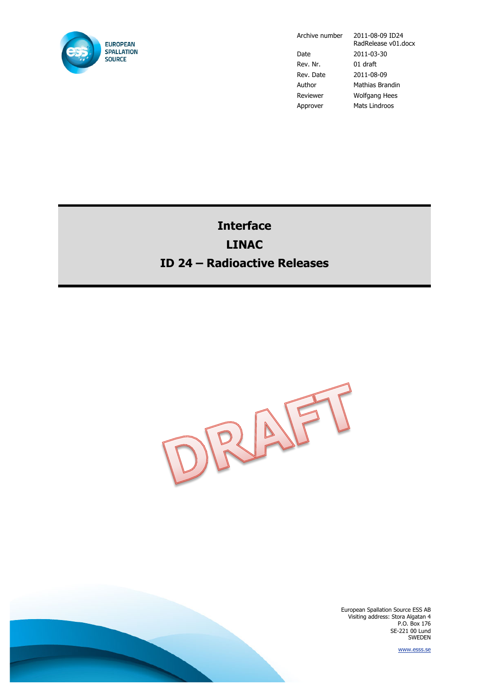

Date 2011-03-30 Rev. Nr. 01 draft Rev. Date 2011-08-09 Author Mathias Brandin Reviewer Wolfgang Hees Approver Mats Lindroos

Archive number 2011-08-09 ID24 RadRelease v01.docx

# **Interface LINAC ID 24 – Radioactive Releases**



European Spallation Source ESS AB Visiting address: Stora Algatan 4 P.O. Box 176 SE-221 00 Lund SWEDEN

www.esss.se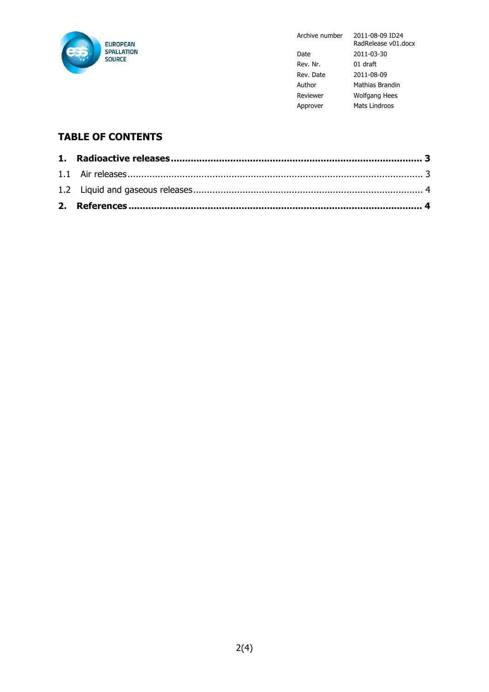

Archive number 2011-08-09 ID24

|           | RadRelease v01.docx  |
|-----------|----------------------|
| Date      | 2011-03-30           |
| Rev. Nr.  | 01 draft             |
| Rev. Date | 2011-08-09           |
| Author    | Mathias Brandin      |
| Reviewer  | <b>Wolfgang Hees</b> |
| Approver  | Mats Lindroos        |

## **TABLE OF CONTENTS**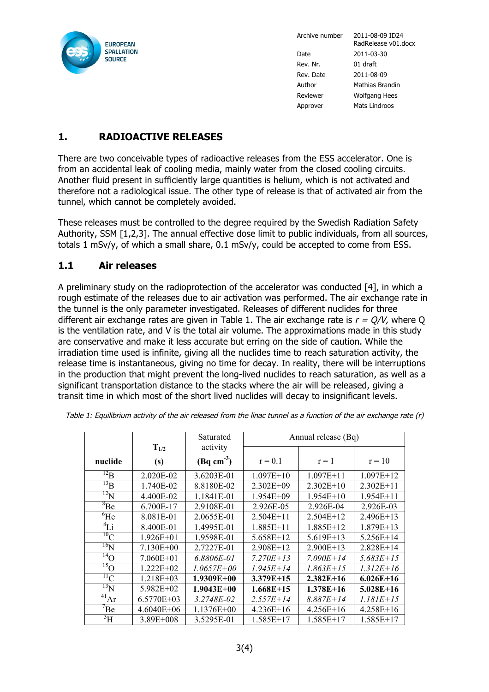

Archive number 2011-08-09 ID24 RadRelease v01.docx Date 2011-03-30 Rev. Nr. 01 draft Rev. Date 2011-08-09 Author Mathias Brandin Reviewer Wolfgang Hees Approver Mats Lindroos

### **1. RADIOACTIVE RELEASES**

There are two conceivable types of radioactive releases from the ESS accelerator. One is from an accidental leak of cooling media, mainly water from the closed cooling circuits. Another fluid present in sufficiently large quantities is helium, which is not activated and therefore not a radiological issue. The other type of release is that of activated air from the tunnel, which cannot be completely avoided.

These releases must be controlled to the degree required by the Swedish Radiation Safety Authority, SSM [1,2,3]. The annual effective dose limit to public individuals, from all sources, totals 1 mSv/y, of which a small share, 0.1 mSv/y, could be accepted to come from ESS.

#### **1.1 Air releases**

A preliminary study on the radioprotection of the accelerator was conducted [4], in which a rough estimate of the releases due to air activation was performed. The air exchange rate in the tunnel is the only parameter investigated. Releases of different nuclides for three different air exchange rates are given in Table 1. The air exchange rate is  $r = O/V$ , where O is the ventilation rate, and V is the total air volume. The approximations made in this study are conservative and make it less accurate but erring on the side of caution. While the irradiation time used is infinite, giving all the nuclides time to reach saturation activity, the release time is instantaneous, giving no time for decay. In reality, there will be interruptions in the production that might prevent the long-lived nuclides to reach saturation, as well as a significant transportation distance to the stacks where the air will be released, giving a transit time in which most of the short lived nuclides will decay to insignificant levels.

|               |               | Saturated      | Annual release (Bq) |               |             |
|---------------|---------------|----------------|---------------------|---------------|-------------|
|               | $T_{1/2}$     | activity       |                     |               |             |
| nuclide       | (s)           | $(Bq cm-3)$    | $r = 0.1$           | $r = 1$       | $r = 10$    |
| $^{12}B$      | 2.020E-02     | 3.6203E-01     | $1.097E+10$         | $1.097E + 11$ | $1.097E+12$ |
| $^{13}B$      | 1.740E-02     | 8.8180E-02     | $2.302E + 09$       | $2.302E+10$   | $2.302E+11$ |
| $^{12}N$      | 4.400E-02     | 1.1841E-01     | $1.954E + 09$       | $1.954E+10$   | $1.954E+11$ |
| ${}^{8}Be$    | 6.700E-17     | 2.9108E-01     | 2.926E-05           | 2.926E-04     | 2.926E-03   |
| $^{6}$ He     | 8.081E-01     | 2.0655E-01     | $2.504E+11$         | $2.504E+12$   | 2.496E+13   |
| ${}^{8}Li$    | 8.400E-01     | 1.4995E-01     | $1.885E+11$         | 1.885E+12     | $1.879E+13$ |
| $^{10}$ C     | $1.926E + 01$ | 1.9598E-01     | 5.658E+12           | $5.619E+13$   | 5.256E+14   |
| $^{16}\!N$    | 7.130E+00     | 2.7227E-01     | $2.908E+12$         | $2.900E+13$   | 2.828E+14   |
| $^{14}$ O     | $7.060E + 01$ | 6.8806E-01     | $7.270E+13$         | $7.090E + 14$ | $5.683E+15$ |
| $^{15}$ O     | $1.222E+02$   | $1.0657E + 00$ | $1.945E+14$         | $1.863E+15$   | $1.312E+16$ |
| $^{11}$ C     | 1.218E+03     | 1.9309E+00     | $3.379E+15$         | $2.382E+16$   | $6.026E+16$ |
| $^{13}$ N     | 5.982E+02     | $1.9043E + 00$ | $1.668E+15$         | $1.378E + 16$ | $5.028E+16$ |
| $^{41}Ar$     | 6.5770E+03    | 3.2748E-02     | $2.557E+14$         | $8.887E + 14$ | $1.181E+15$ |
| $\mathrm{Be}$ | 4.6040E+06    | 1.1376E+00     | $4.236E+16$         | $4.256E+16$   | $4.258E+16$ |
| $\rm{^3H}$    | $3.89E + 008$ | 3.5295E-01     | 1.585E+17           | $1.585E+17$   | 1.585E+17   |

Table 1: Equilibrium activity of the air released from the linac tunnel as a function of the air exchange rate (r) **%8.4"79%&,"/%&:&,&;<&**